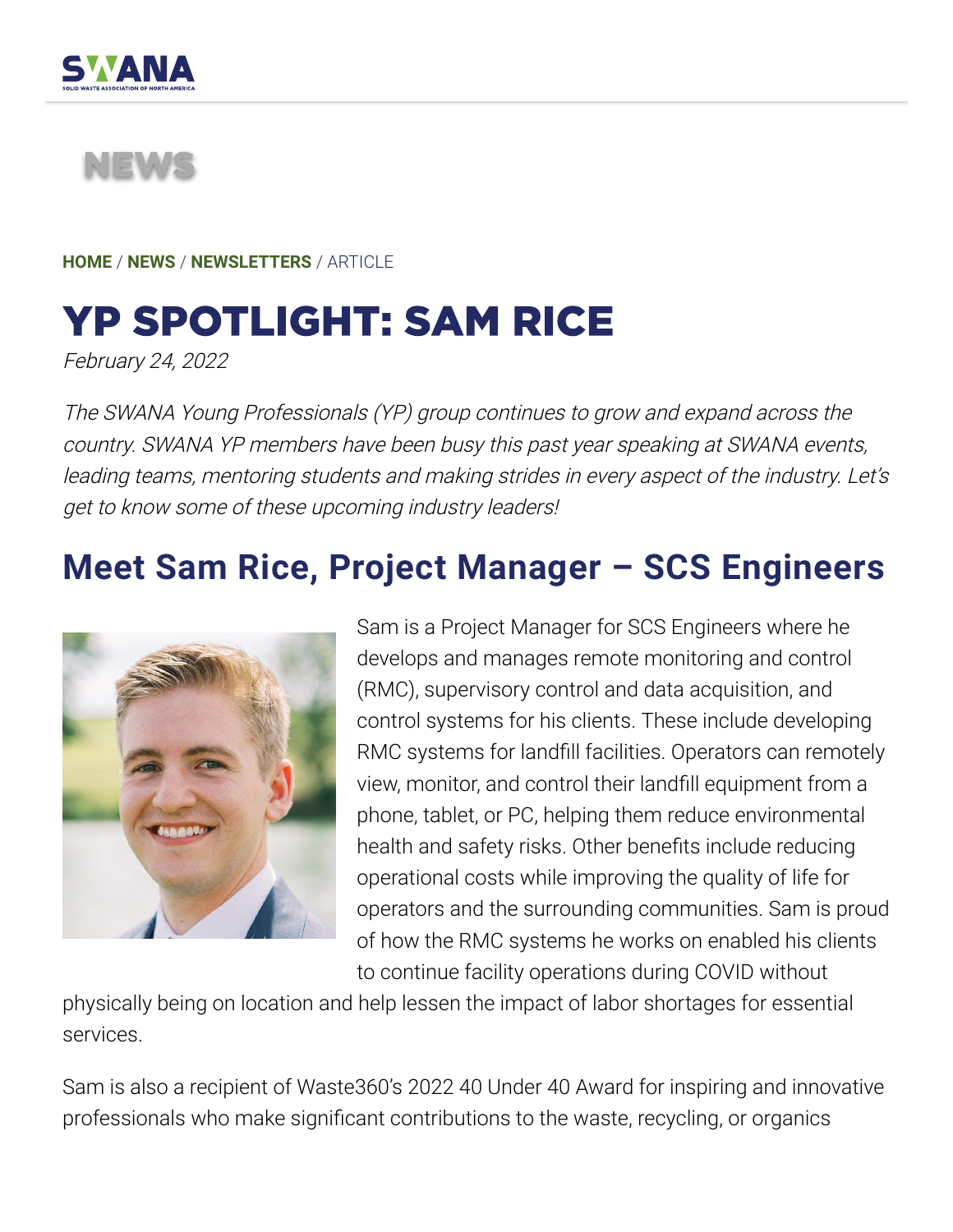

## NEWS

**HOME** / **NEWS** / **NEWSLETTERS** / ARTICLE

## YP SPOTLIGHT: SAM RICE

February 24, 2022

The SWANA Young Professionals (YP) group continues to grow and expand across the country. SWANA YP members have been busy this past year speaking at SWANA events, leading teams, mentoring students and making strides in every aspect of the industry. Let's get to know some of these upcoming industry leaders!

## **Meet Sam Rice, Project Manager – SCS Engineers**



Sam is a Project Manager for SCS Engineers where he develops and manages remote monitoring and control (RMC), supervisory control and data acquisition, and control systems for his clients. These include developing RMC systems for landfill facilities. Operators can remotely view, monitor, and control their landfill equipment from a phone, tablet, or PC, helping them reduce environmental health and safety risks. Other benefits include reducing operational costs while improving the quality of life for operators and the surrounding communities. Sam is proud of how the RMC systems he works on enabled his clients to continue facility operations during COVID without

physically being on location and help lessen the impact of labor shortages for essential services.

Sam is also a recipient of Waste360's 2022 40 Under 40 Award for inspiring and innovative professionals who make significant contributions to the waste, recycling, or organics